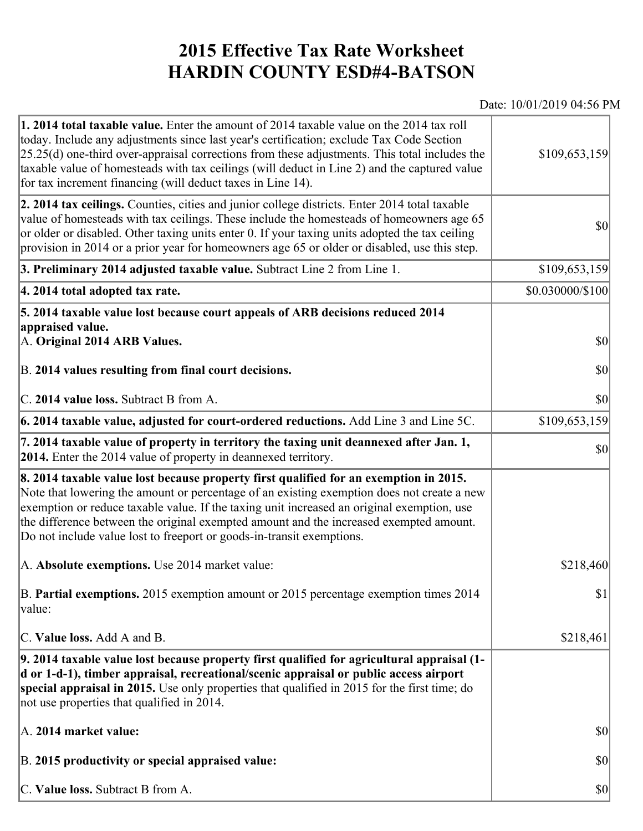## **2015 Effective Tax Rate Worksheet HARDIN COUNTY ESD#4-BATSON**

## Date: 10/01/2019 04:56 PM

| <b>1. 2014 total taxable value.</b> Enter the amount of 2014 taxable value on the 2014 tax roll<br>today. Include any adjustments since last year's certification; exclude Tax Code Section<br>$[25.25(d)$ one-third over-appraisal corrections from these adjustments. This total includes the<br>taxable value of homesteads with tax ceilings (will deduct in Line 2) and the captured value<br>for tax increment financing (will deduct taxes in Line 14). | \$109,653,159    |
|----------------------------------------------------------------------------------------------------------------------------------------------------------------------------------------------------------------------------------------------------------------------------------------------------------------------------------------------------------------------------------------------------------------------------------------------------------------|------------------|
| 2. 2014 tax ceilings. Counties, cities and junior college districts. Enter 2014 total taxable<br>value of homesteads with tax ceilings. These include the homesteads of homeowners age 65<br>or older or disabled. Other taxing units enter 0. If your taxing units adopted the tax ceiling<br>provision in 2014 or a prior year for homeowners age 65 or older or disabled, use this step.                                                                    | 30               |
| 3. Preliminary 2014 adjusted taxable value. Subtract Line 2 from Line 1.                                                                                                                                                                                                                                                                                                                                                                                       | \$109,653,159    |
| 4. 2014 total adopted tax rate.                                                                                                                                                                                                                                                                                                                                                                                                                                | \$0.030000/\$100 |
| 5. 2014 taxable value lost because court appeals of ARB decisions reduced 2014                                                                                                                                                                                                                                                                                                                                                                                 |                  |
| appraised value.<br>A. Original 2014 ARB Values.                                                                                                                                                                                                                                                                                                                                                                                                               | $ 10\rangle$     |
| B. 2014 values resulting from final court decisions.                                                                                                                                                                                                                                                                                                                                                                                                           | \$0              |
| C. 2014 value loss. Subtract B from A.                                                                                                                                                                                                                                                                                                                                                                                                                         | $ 10\rangle$     |
| [6. 2014 taxable value, adjusted for court-ordered reductions. Add Line 3 and Line 5C.                                                                                                                                                                                                                                                                                                                                                                         | \$109,653,159    |
| 7. 2014 taxable value of property in territory the taxing unit deannexed after Jan. 1,<br><b>2014.</b> Enter the 2014 value of property in deannexed territory.                                                                                                                                                                                                                                                                                                | $ 10\rangle$     |
| 8. 2014 taxable value lost because property first qualified for an exemption in 2015.<br>Note that lowering the amount or percentage of an existing exemption does not create a new<br>exemption or reduce taxable value. If the taxing unit increased an original exemption, use<br>the difference between the original exempted amount and the increased exempted amount.<br>Do not include value lost to freeport or goods-in-transit exemptions.           |                  |
| A. Absolute exemptions. Use 2014 market value:                                                                                                                                                                                                                                                                                                                                                                                                                 | \$218,460        |
| B. Partial exemptions. 2015 exemption amount or 2015 percentage exemption times 2014<br>$\vert$ value:                                                                                                                                                                                                                                                                                                                                                         | \$1              |
| C. Value loss. Add A and B.                                                                                                                                                                                                                                                                                                                                                                                                                                    | \$218,461        |
| 9. 2014 taxable value lost because property first qualified for agricultural appraisal (1-<br>d or 1-d-1), timber appraisal, recreational/scenic appraisal or public access airport<br>special appraisal in 2015. Use only properties that qualified in 2015 for the first time; do<br>not use properties that qualified in 2014.                                                                                                                              |                  |
| A. 2014 market value:                                                                                                                                                                                                                                                                                                                                                                                                                                          | $ 10\rangle$     |
| B. 2015 productivity or special appraised value:                                                                                                                                                                                                                                                                                                                                                                                                               | $ 10\rangle$     |
| C. Value loss. Subtract B from A.                                                                                                                                                                                                                                                                                                                                                                                                                              | $ 10\rangle$     |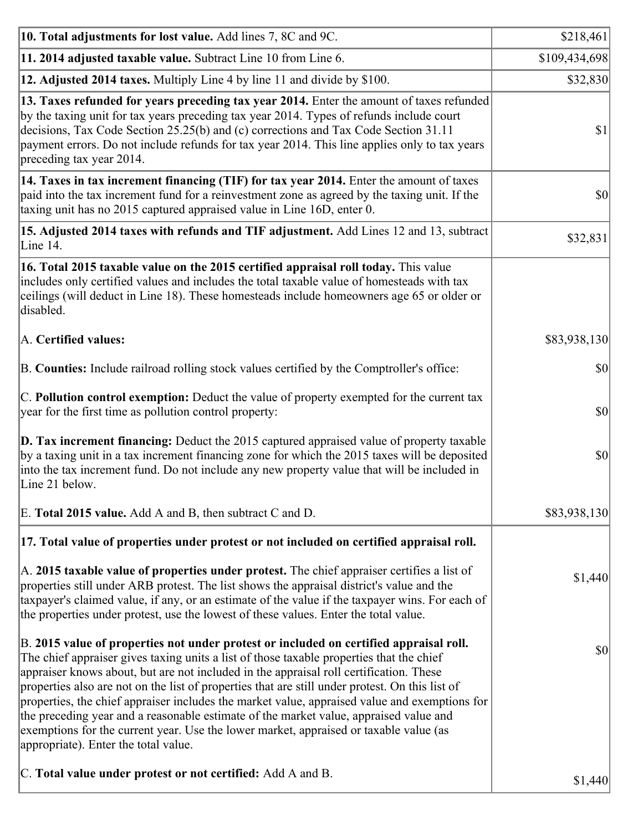| 10. Total adjustments for lost value. Add lines 7, 8C and 9C.                                                                                                                                                                                                                                                                                                                                                                                                                                                                                                                                                                                                                                              | \$218,461     |
|------------------------------------------------------------------------------------------------------------------------------------------------------------------------------------------------------------------------------------------------------------------------------------------------------------------------------------------------------------------------------------------------------------------------------------------------------------------------------------------------------------------------------------------------------------------------------------------------------------------------------------------------------------------------------------------------------------|---------------|
| 11. 2014 adjusted taxable value. Subtract Line 10 from Line 6.                                                                                                                                                                                                                                                                                                                                                                                                                                                                                                                                                                                                                                             | \$109,434,698 |
| 12. Adjusted 2014 taxes. Multiply Line 4 by line 11 and divide by \$100.                                                                                                                                                                                                                                                                                                                                                                                                                                                                                                                                                                                                                                   | \$32,830      |
| 13. Taxes refunded for years preceding tax year 2014. Enter the amount of taxes refunded<br>by the taxing unit for tax years preceding tax year 2014. Types of refunds include court<br>decisions, Tax Code Section 25.25(b) and (c) corrections and Tax Code Section 31.11<br>payment errors. Do not include refunds for tax year 2014. This line applies only to tax years<br>preceding tax year 2014.                                                                                                                                                                                                                                                                                                   | S1            |
| 14. Taxes in tax increment financing (TIF) for tax year 2014. Enter the amount of taxes<br>paid into the tax increment fund for a reinvestment zone as agreed by the taxing unit. If the<br>taxing unit has no 2015 captured appraised value in Line 16D, enter 0.                                                                                                                                                                                                                                                                                                                                                                                                                                         | $ 10\rangle$  |
| 15. Adjusted 2014 taxes with refunds and TIF adjustment. Add Lines 12 and 13, subtract<br>Line 14.                                                                                                                                                                                                                                                                                                                                                                                                                                                                                                                                                                                                         | \$32,831      |
| 16. Total 2015 taxable value on the 2015 certified appraisal roll today. This value<br>includes only certified values and includes the total taxable value of homesteads with tax<br>ceilings (will deduct in Line 18). These homesteads include homeowners age 65 or older or<br>disabled.                                                                                                                                                                                                                                                                                                                                                                                                                |               |
| A. Certified values:                                                                                                                                                                                                                                                                                                                                                                                                                                                                                                                                                                                                                                                                                       | \$83,938,130  |
| B. Counties: Include railroad rolling stock values certified by the Comptroller's office:                                                                                                                                                                                                                                                                                                                                                                                                                                                                                                                                                                                                                  | $ 10\rangle$  |
| C. Pollution control exemption: Deduct the value of property exempted for the current tax<br>year for the first time as pollution control property:                                                                                                                                                                                                                                                                                                                                                                                                                                                                                                                                                        | $ 10\rangle$  |
| $\vert$ D. Tax increment financing: Deduct the 2015 captured appraised value of property taxable<br>by a taxing unit in a tax increment financing zone for which the 2015 taxes will be deposited<br>into the tax increment fund. Do not include any new property value that will be included in<br>Line 21 below.                                                                                                                                                                                                                                                                                                                                                                                         | $ 10\rangle$  |
| E. Total 2015 value. Add A and B, then subtract C and D.                                                                                                                                                                                                                                                                                                                                                                                                                                                                                                                                                                                                                                                   | \$83,938,130  |
| 17. Total value of properties under protest or not included on certified appraisal roll.                                                                                                                                                                                                                                                                                                                                                                                                                                                                                                                                                                                                                   |               |
| A. 2015 taxable value of properties under protest. The chief appraiser certifies a list of<br>properties still under ARB protest. The list shows the appraisal district's value and the<br>taxpayer's claimed value, if any, or an estimate of the value if the taxpayer wins. For each of<br>the properties under protest, use the lowest of these values. Enter the total value.                                                                                                                                                                                                                                                                                                                         | \$1,440       |
| B. 2015 value of properties not under protest or included on certified appraisal roll.<br>The chief appraiser gives taxing units a list of those taxable properties that the chief<br>appraiser knows about, but are not included in the appraisal roll certification. These<br>properties also are not on the list of properties that are still under protest. On this list of<br>properties, the chief appraiser includes the market value, appraised value and exemptions for<br>the preceding year and a reasonable estimate of the market value, appraised value and<br>exemptions for the current year. Use the lower market, appraised or taxable value (as<br>appropriate). Enter the total value. | $ 10\rangle$  |
| C. Total value under protest or not certified: Add A and B.                                                                                                                                                                                                                                                                                                                                                                                                                                                                                                                                                                                                                                                | \$1,440       |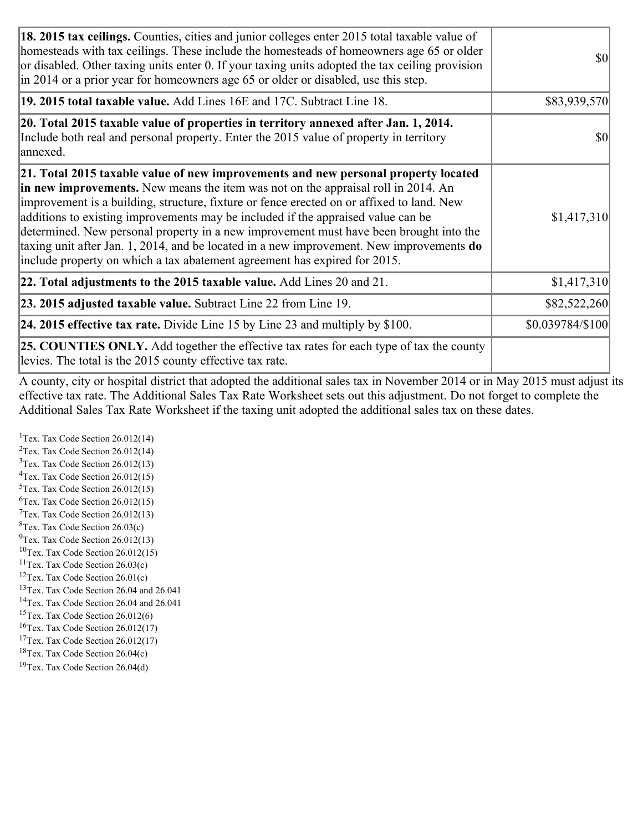| 18. 2015 tax ceilings. Counties, cities and junior colleges enter 2015 total taxable value of<br>homesteads with tax ceilings. These include the homesteads of homeowners age 65 or older<br>or disabled. Other taxing units enter 0. If your taxing units adopted the tax ceiling provision<br>in 2014 or a prior year for homeowners age 65 or older or disabled, use this step.                                                                                                                                                                                                                                                 | <b>\$0</b>       |
|------------------------------------------------------------------------------------------------------------------------------------------------------------------------------------------------------------------------------------------------------------------------------------------------------------------------------------------------------------------------------------------------------------------------------------------------------------------------------------------------------------------------------------------------------------------------------------------------------------------------------------|------------------|
| 19. 2015 total taxable value. Add Lines 16E and 17C. Subtract Line 18.                                                                                                                                                                                                                                                                                                                                                                                                                                                                                                                                                             | \$83,939,570     |
| 20. Total 2015 taxable value of properties in territory annexed after Jan. 1, 2014.<br>Include both real and personal property. Enter the 2015 value of property in territory<br>annexed.                                                                                                                                                                                                                                                                                                                                                                                                                                          | <b>\$0</b>       |
| 21. Total 2015 taxable value of new improvements and new personal property located<br>in new improvements. New means the item was not on the appraisal roll in 2014. An<br>improvement is a building, structure, fixture or fence erected on or affixed to land. New<br>additions to existing improvements may be included if the appraised value can be<br>determined. New personal property in a new improvement must have been brought into the<br>taxing unit after Jan. 1, 2014, and be located in a new improvement. New improvements <b>do</b><br>include property on which a tax abatement agreement has expired for 2015. | \$1,417,310      |
| 22. Total adjustments to the 2015 taxable value. Add Lines 20 and 21.                                                                                                                                                                                                                                                                                                                                                                                                                                                                                                                                                              | \$1,417,310      |
| <b>23. 2015 adjusted taxable value.</b> Subtract Line 22 from Line 19.                                                                                                                                                                                                                                                                                                                                                                                                                                                                                                                                                             | \$82,522,260     |
| <b>24. 2015 effective tax rate.</b> Divide Line 15 by Line 23 and multiply by $$100$ .                                                                                                                                                                                                                                                                                                                                                                                                                                                                                                                                             | \$0.039784/\$100 |
| <b>25. COUNTIES ONLY.</b> Add together the effective tax rates for each type of tax the county<br>levies. The total is the 2015 county effective tax rate.                                                                                                                                                                                                                                                                                                                                                                                                                                                                         |                  |

A county, city or hospital district that adopted the additional sales tax in November 2014 or in May 2015 must adjust its effective tax rate. The Additional Sales Tax Rate Worksheet sets out this adjustment. Do not forget to complete the Additional Sales Tax Rate Worksheet if the taxing unit adopted the additional sales tax on these dates.

<sup>1</sup>Tex. Tax Code Section  $26.012(14)$ <sup>2</sup>Tex. Tax Code Section  $26.012(14)$  $3$ Tex. Tax Code Section 26.012(13)  ${}^{4}$ Tex. Tax Code Section 26.012(15) <sup>5</sup>Tex. Tax Code Section 26.012(15)  ${}^{6}$ Tex. Tax Code Section 26.012(15)  $7$ Tex. Tax Code Section 26.012(13)  ${}^{8}$ Tex. Tax Code Section 26.03(c)  $^{9}$ Tex. Tax Code Section 26.012(13)  $10$ Tex. Tax Code Section 26.012(15) <sup>11</sup>Tex. Tax Code Section  $26.03(c)$ <sup>12</sup>Tex. Tax Code Section  $26.01(c)$ <sup>13</sup>Tex. Tax Code Section 26.04 and 26.041 <sup>14</sup>Tex. Tax Code Section 26.04 and 26.041 <sup>15</sup>Tex. Tax Code Section  $26.012(6)$  $16$ Tex. Tax Code Section 26.012(17) <sup>17</sup>Tex. Tax Code Section 26.012(17) <sup>18</sup>Tex. Tax Code Section  $26.04(c)$  $19$ Tex. Tax Code Section 26.04(d)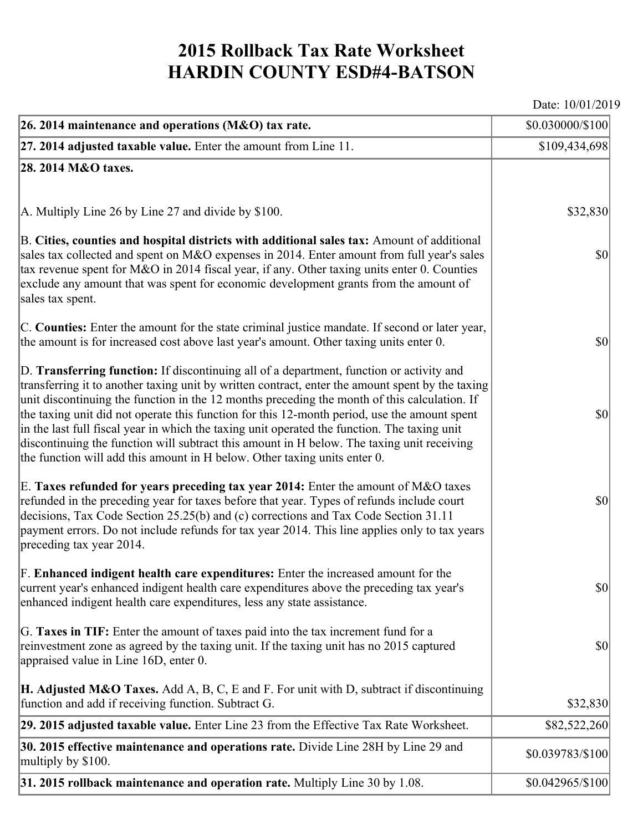## **2015 Rollback Tax Rate Worksheet HARDIN COUNTY ESD#4-BATSON**

Date: 10/01/2019

| 26. 2014 maintenance and operations (M&O) tax rate.                                                                                                                                                                                                                                                                                                                                                                                                                                                                                                                                                                                                                     | \$0.030000/\$100 |
|-------------------------------------------------------------------------------------------------------------------------------------------------------------------------------------------------------------------------------------------------------------------------------------------------------------------------------------------------------------------------------------------------------------------------------------------------------------------------------------------------------------------------------------------------------------------------------------------------------------------------------------------------------------------------|------------------|
| $ 27.2014$ adjusted taxable value. Enter the amount from Line 11.                                                                                                                                                                                                                                                                                                                                                                                                                                                                                                                                                                                                       | \$109,434,698    |
| 28. 2014 M&O taxes.                                                                                                                                                                                                                                                                                                                                                                                                                                                                                                                                                                                                                                                     |                  |
|                                                                                                                                                                                                                                                                                                                                                                                                                                                                                                                                                                                                                                                                         |                  |
| $ A$ . Multiply Line 26 by Line 27 and divide by \$100.                                                                                                                                                                                                                                                                                                                                                                                                                                                                                                                                                                                                                 | \$32,830         |
| B. Cities, counties and hospital districts with additional sales tax: Amount of additional<br>sales tax collected and spent on M&O expenses in 2014. Enter amount from full year's sales<br>tax revenue spent for M&O in 2014 fiscal year, if any. Other taxing units enter 0. Counties<br>exclude any amount that was spent for economic development grants from the amount of<br>sales tax spent.                                                                                                                                                                                                                                                                     | $ 10\rangle$     |
| C. Counties: Enter the amount for the state criminal justice mandate. If second or later year,<br>the amount is for increased cost above last year's amount. Other taxing units enter 0.                                                                                                                                                                                                                                                                                                                                                                                                                                                                                | $ 10\rangle$     |
| D. Transferring function: If discontinuing all of a department, function or activity and<br>transferring it to another taxing unit by written contract, enter the amount spent by the taxing<br>unit discontinuing the function in the 12 months preceding the month of this calculation. If<br>the taxing unit did not operate this function for this 12-month period, use the amount spent<br>in the last full fiscal year in which the taxing unit operated the function. The taxing unit<br>discontinuing the function will subtract this amount in H below. The taxing unit receiving<br>the function will add this amount in H below. Other taxing units enter 0. | $ 10\rangle$     |
| E. Taxes refunded for years preceding tax year 2014: Enter the amount of M&O taxes<br>refunded in the preceding year for taxes before that year. Types of refunds include court<br>decisions, Tax Code Section 25.25(b) and (c) corrections and Tax Code Section 31.11<br>payment errors. Do not include refunds for tax year 2014. This line applies only to tax years<br>preceding tax year 2014.                                                                                                                                                                                                                                                                     | $ 10\rangle$     |
| F. Enhanced indigent health care expenditures: Enter the increased amount for the<br>current year's enhanced indigent health care expenditures above the preceding tax year's<br>enhanced indigent health care expenditures, less any state assistance.                                                                                                                                                                                                                                                                                                                                                                                                                 | $ 10\rangle$     |
| G. Taxes in TIF: Enter the amount of taxes paid into the tax increment fund for a<br>reinvestment zone as agreed by the taxing unit. If the taxing unit has no 2015 captured<br>appraised value in Line 16D, enter 0.                                                                                                                                                                                                                                                                                                                                                                                                                                                   | $ 10\rangle$     |
| <b>H. Adjusted M&amp;O Taxes.</b> Add A, B, C, E and F. For unit with D, subtract if discontinuing<br>function and add if receiving function. Subtract G.                                                                                                                                                                                                                                                                                                                                                                                                                                                                                                               | \$32,830         |
| 29. 2015 adjusted taxable value. Enter Line 23 from the Effective Tax Rate Worksheet.                                                                                                                                                                                                                                                                                                                                                                                                                                                                                                                                                                                   | \$82,522,260     |
| 30. 2015 effective maintenance and operations rate. Divide Line 28H by Line 29 and<br>multiply by \$100.                                                                                                                                                                                                                                                                                                                                                                                                                                                                                                                                                                | \$0.039783/\$100 |
| $31.2015$ rollback maintenance and operation rate. Multiply Line 30 by 1.08.                                                                                                                                                                                                                                                                                                                                                                                                                                                                                                                                                                                            | \$0.042965/\$100 |